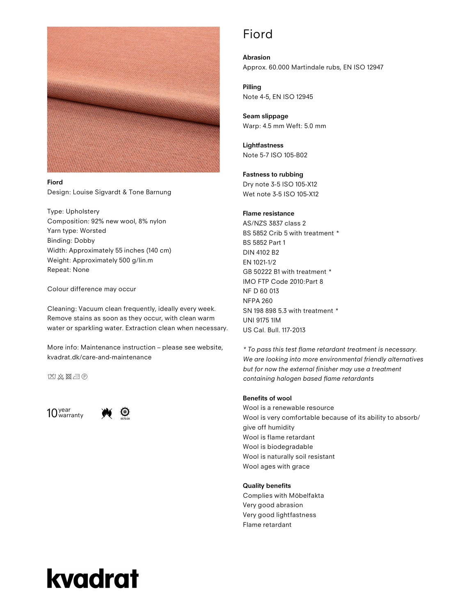

#### Fiord

Design: Louise Sigvardt & Tone Barnung

Type: Upholstery Composition: 92% new wool, 8% nylon Yarn type: Worsted Binding: Dobby Width: Approximately 55 inches (140 cm) Weight: Approximately 500 g/lin.m Repeat: None

Colour difference may occur

Cleaning: Vacuum clean frequently, ideally every week. Remove stains as soon as they occur, with clean warm water or sparkling water. Extraction clean when necessary.

More info: Maintenance instruction – please see website, kvadrat.dk/care-and-maintenance

**MA图示图** 





### Fiord

Abrasion Approx. 60.000 Martindale rubs, EN ISO 12947

Pilling Note 4-5, EN ISO 12945

Seam slippage Warp: 4.5 mm Weft: 5.0 mm

Lightfastness Note 5-7 ISO 105-B02

Fastness to rubbing

Dry note 3-5 ISO 105-X12 Wet note 3-5 ISO 105-X12

#### Flame resistance

AS/NZS 3837 class 2 BS 5852 Crib 5 with treatment \* BS 5852 Part 1 DIN 4102 B2 EN 1021-1/2 GB 50222 B1 with treatment \* IMO FTP Code 2010:Part 8 NF D 60 013 NFPA 260 SN 198 898 5.3 with treatment \* UNI 9175 1IM US Cal. Bull. 117-2013

\* To pass this test flame retardant treatment is necessary. We are looking into more environmental friendly alternatives but for now the external finisher may use a treatment containing halogen based flame retardants

#### Benefits of wool

Wool is a renewable resource Wool is very comfortable because of its ability to absorb/ give off humidity Wool is flame retardant Wool is biodegradable Wool is naturally soil resistant Wool ages with grace

#### Quality benefits

Complies with Möbelfakta Very good abrasion Very good lightfastness Flame retardant

# kvadrat